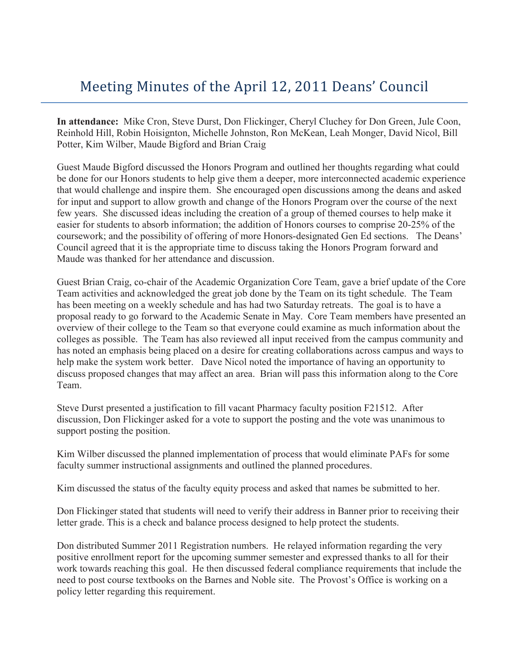## Meeting Minutes of the April 12, 2011 Deans' Council

**In attendance:** Mike Cron, Steve Durst, Don Flickinger, Cheryl Cluchey for Don Green, Jule Coon, Reinhold Hill, Robin Hoisignton, Michelle Johnston, Ron McKean, Leah Monger, David Nicol, Bill Potter, Kim Wilber, Maude Bigford and Brian Craig

Guest Maude Bigford discussed the Honors Program and outlined her thoughts regarding what could be done for our Honors students to help give them a deeper, more interconnected academic experience that would challenge and inspire them. She encouraged open discussions among the deans and asked for input and support to allow growth and change of the Honors Program over the course of the next few years. She discussed ideas including the creation of a group of themed courses to help make it easier for students to absorb information; the addition of Honors courses to comprise 20-25% of the coursework; and the possibility of offering of more Honors-designated Gen Ed sections. The Deans' Council agreed that it is the appropriate time to discuss taking the Honors Program forward and Maude was thanked for her attendance and discussion.

Guest Brian Craig, co-chair of the Academic Organization Core Team, gave a brief update of the Core Team activities and acknowledged the great job done by the Team on its tight schedule. The Team has been meeting on a weekly schedule and has had two Saturday retreats. The goal is to have a proposal ready to go forward to the Academic Senate in May. Core Team members have presented an overview of their college to the Team so that everyone could examine as much information about the colleges as possible. The Team has also reviewed all input received from the campus community and has noted an emphasis being placed on a desire for creating collaborations across campus and ways to help make the system work better. Dave Nicol noted the importance of having an opportunity to discuss proposed changes that may affect an area. Brian will pass this information along to the Core Team.

Steve Durst presented a justification to fill vacant Pharmacy faculty position F21512. After discussion, Don Flickinger asked for a vote to support the posting and the vote was unanimous to support posting the position.

Kim Wilber discussed the planned implementation of process that would eliminate PAFs for some faculty summer instructional assignments and outlined the planned procedures.

Kim discussed the status of the faculty equity process and asked that names be submitted to her.

Don Flickinger stated that students will need to verify their address in Banner prior to receiving their letter grade. This is a check and balance process designed to help protect the students.

Don distributed Summer 2011 Registration numbers. He relayed information regarding the very positive enrollment report for the upcoming summer semester and expressed thanks to all for their work towards reaching this goal. He then discussed federal compliance requirements that include the need to post course textbooks on the Barnes and Noble site. The Provost's Office is working on a policy letter regarding this requirement.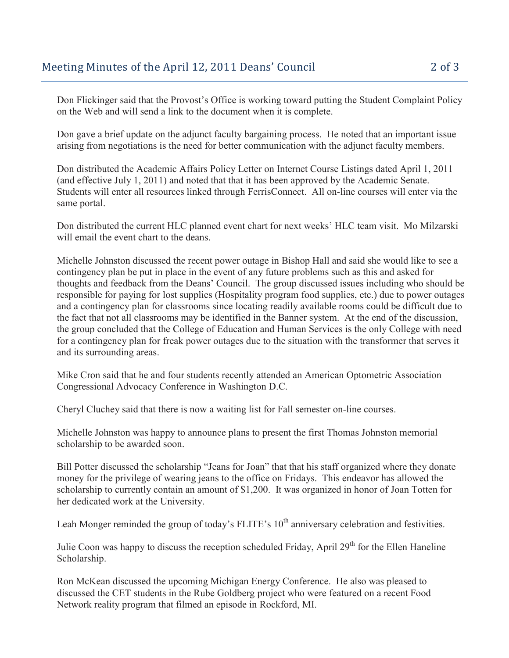Don Flickinger said that the Provost's Office is working toward putting the Student Complaint Policy on the Web and will send a link to the document when it is complete.

Don gave a brief update on the adjunct faculty bargaining process. He noted that an important issue arising from negotiations is the need for better communication with the adjunct faculty members.

Don distributed the Academic Affairs Policy Letter on Internet Course Listings dated April 1, 2011 (and effective July 1, 2011) and noted that that it has been approved by the Academic Senate. Students will enter all resources linked through FerrisConnect. All on-line courses will enter via the same portal.

Don distributed the current HLC planned event chart for next weeks' HLC team visit. Mo Milzarski will email the event chart to the deans.

Michelle Johnston discussed the recent power outage in Bishop Hall and said she would like to see a contingency plan be put in place in the event of any future problems such as this and asked for thoughts and feedback from the Deans' Council. The group discussed issues including who should be responsible for paying for lost supplies (Hospitality program food supplies, etc.) due to power outages and a contingency plan for classrooms since locating readily available rooms could be difficult due to the fact that not all classrooms may be identified in the Banner system. At the end of the discussion, the group concluded that the College of Education and Human Services is the only College with need for a contingency plan for freak power outages due to the situation with the transformer that serves it and its surrounding areas.

Mike Cron said that he and four students recently attended an American Optometric Association Congressional Advocacy Conference in Washington D.C.

Cheryl Cluchey said that there is now a waiting list for Fall semester on-line courses.

Michelle Johnston was happy to announce plans to present the first Thomas Johnston memorial scholarship to be awarded soon.

Bill Potter discussed the scholarship "Jeans for Joan" that that his staff organized where they donate money for the privilege of wearing jeans to the office on Fridays. This endeavor has allowed the scholarship to currently contain an amount of \$1,200. It was organized in honor of Joan Totten for her dedicated work at the University.

Leah Monger reminded the group of today's FLITE's 10<sup>th</sup> anniversary celebration and festivities.

Julie Coon was happy to discuss the reception scheduled Friday, April 29<sup>th</sup> for the Ellen Haneline Scholarship.

Ron McKean discussed the upcoming Michigan Energy Conference. He also was pleased to discussed the CET students in the Rube Goldberg project who were featured on a recent Food Network reality program that filmed an episode in Rockford, MI.